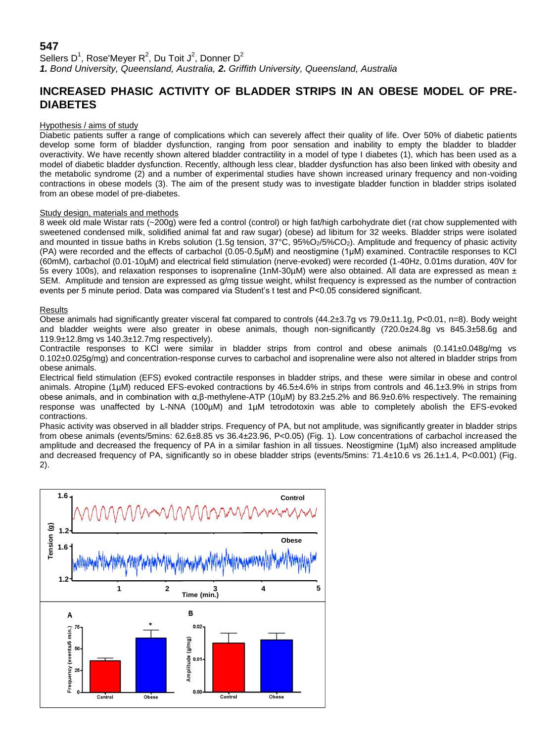# **547**

Sellers D<sup>1</sup>, Rose'Meyer R<sup>2</sup>, Du Toit J<sup>2</sup>, Donner D<sup>2</sup> *1. Bond University, Queensland, Australia, 2. Griffith University, Queensland, Australia*

# **INCREASED PHASIC ACTIVITY OF BLADDER STRIPS IN AN OBESE MODEL OF PRE-DIABETES**

### Hypothesis / aims of study

Diabetic patients suffer a range of complications which can severely affect their quality of life. Over 50% of diabetic patients develop some form of bladder dysfunction, ranging from poor sensation and inability to empty the bladder to bladder overactivity. We have recently shown altered bladder contractility in a model of type I diabetes (1), which has been used as a model of diabetic bladder dysfunction. Recently, although less clear, bladder dysfunction has also been linked with obesity and the metabolic syndrome (2) and a number of experimental studies have shown increased urinary frequency and non-voiding contractions in obese models (3). The aim of the present study was to investigate bladder function in bladder strips isolated from an obese model of pre-diabetes.

### Study design, materials and methods

8 week old male Wistar rats (~200g) were fed a control (control) or high fat/high carbohydrate diet (rat chow supplemented with sweetened condensed milk, solidified animal fat and raw sugar) (obese) ad libitum for 32 weeks. Bladder strips were isolated and mounted in tissue baths in Krebs solution (1.5g tension,  $37^{\circ}$ C,  $95\%O_2/5\%CO_2$ ). Amplitude and frequency of phasic activity (PA) were recorded and the effects of carbachol (0.05-0.5μM) and neostigmine (1µM) examined. Contractile responses to KCl (60mM), carbachol (0.01-10µM) and electrical field stimulation (nerve-evoked) were recorded (1-40Hz, 0.01ms duration, 40V for 5s every 100s), and relaxation responses to isoprenaline (1nM-30 $\mu$ M) were also obtained. All data are expressed as mean  $\pm$ SEM. Amplitude and tension are expressed as g/mg tissue weight, whilst frequency is expressed as the number of contraction events per 5 minute period. Data was compared via Student's t test and P<0.05 considered significant.

### **Results**

Obese animals had significantly greater visceral fat compared to controls (44.2±3.7g vs 79.0±11.1g, P<0.01, n=8). Body weight and bladder weights were also greater in obese animals, though non-significantly (720.0±24.8g vs 845.3±58.6g and 119.9±12.8mg vs 140.3±12.7mg respectively).

Contractile responses to KCl were similar in bladder strips from control and obese animals (0.141±0.048g/mg vs 0.102±0.025g/mg) and concentration-response curves to carbachol and isoprenaline were also not altered in bladder strips from obese animals.

Electrical field stimulation (EFS) evoked contractile responses in bladder strips, and these were similar in obese and control animals. Atropine (1µM) reduced EFS-evoked contractions by 46.5±4.6% in strips from controls and 46.1±3.9% in strips from obese animals, and in combination with α,β-methylene-ATP (10µM) by 83.2±5.2% and 86.9±0.6% respectively. The remaining response was unaffected by L-NNA (100µM) and 1µM tetrodotoxin was able to completely abolish the EFS-evoked contractions.

Phasic activity was observed in all bladder strips. Frequency of PA, but not amplitude, was significantly greater in bladder strips from obese animals (events/5mins: 62.6±8.85 vs 36.4±23.96, P<0.05) (Fig. 1). Low concentrations of carbachol increased the amplitude and decreased the frequency of PA in a similar fashion in all tissues. Neostigmine (1µM) also increased amplitude and decreased frequency of PA, significantly so in obese bladder strips (events/5mins: 71.4±10.6 vs 26.1±1.4, P<0.001) (Fig. 2).